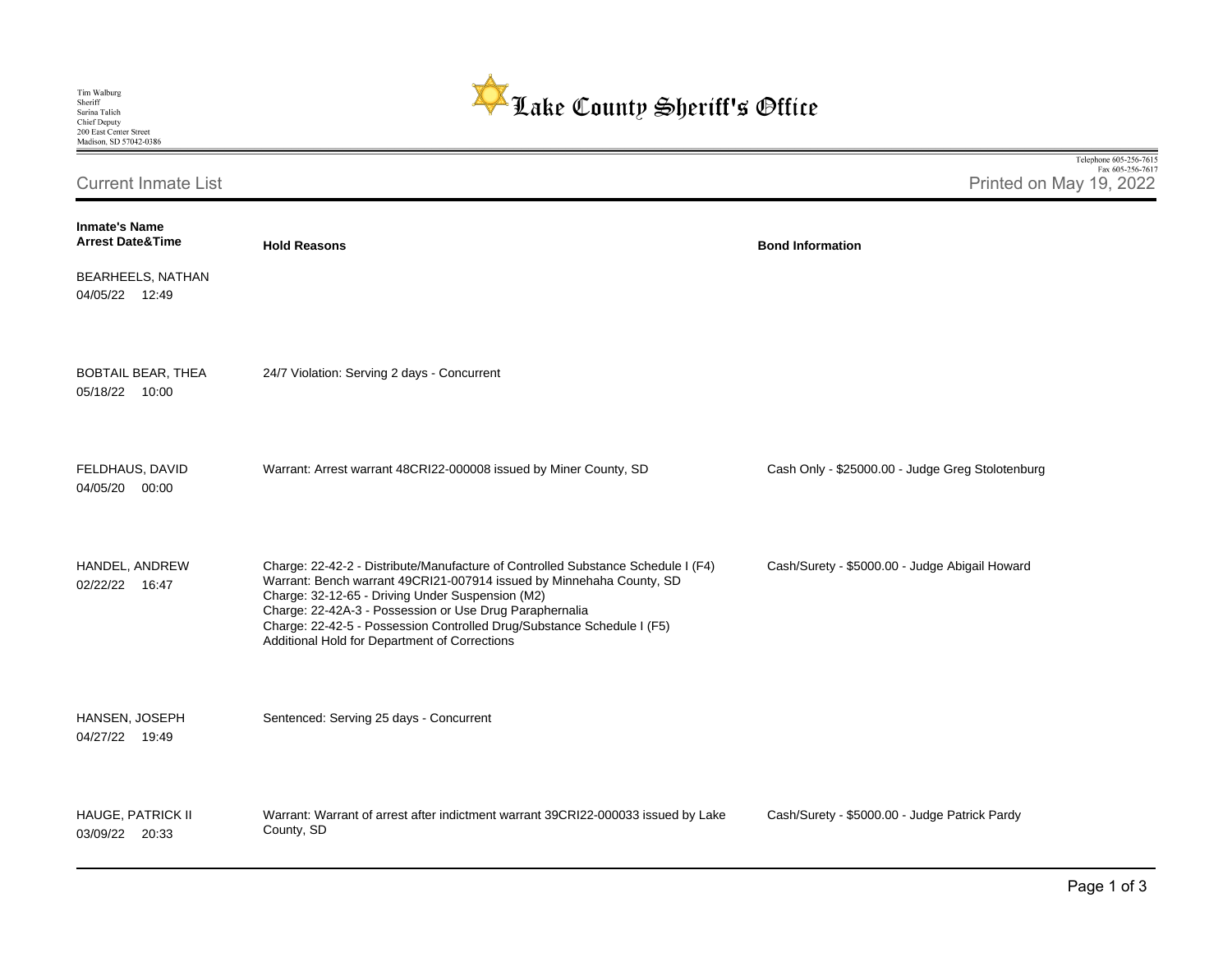

| Tim Walburg            |
|------------------------|
| Sheriff                |
| Sarina Talich          |
| <b>Chief Deputy</b>    |
| 200 East Center Street |
| Madison, SD 57042-0386 |

Fax 605-256-7617 Current Inmate List Printed on May 19, 2022 **Inmate's Name Arrest Date&Time Hold Reasons Bond Information**  BEARHEELS, NATHAN 04/05/22 12:49 BOBTAIL BEAR, THEA 24/7 Violation: Serving 2 days - Concurrent 05/18/22 10:00 FELDHAUS, DAVID Warrant: Arrest warrant 48CRI22-000008 issued by Miner County, SD Cash Only - \$25000.00 - Judge Greg Stolotenburg 04/05/20 00:00 HANDEL, ANDREW Charge: 22-42-2 - Distribute/Manufacture of Controlled Substance Schedule I (F4) Cash/Surety - \$5000.00 - Judge Abigail Howard Warrant: Bench warrant 49CRI21-007914 issued by Minnehaha County, SD 02/22/22 16:47 Charge: 32-12-65 - Driving Under Suspension (M2) Charge: 22-42A-3 - Possession or Use Drug Paraphernalia Charge: 22-42-5 - Possession Controlled Drug/Substance Schedule I (F5) Additional Hold for Department of Corrections HANSEN, JOSEPH Sentenced: Serving 25 days - Concurrent 04/27/22 19:49 HAUGE, PATRICK II Warrant: Warrant of arrest after indictment warrant 39CRI22-000033 issued by Lake Cash/Surety - \$5000.00 - Judge Patrick PardyCounty, SD 03/09/22 20:33

Telephone 605-256-7615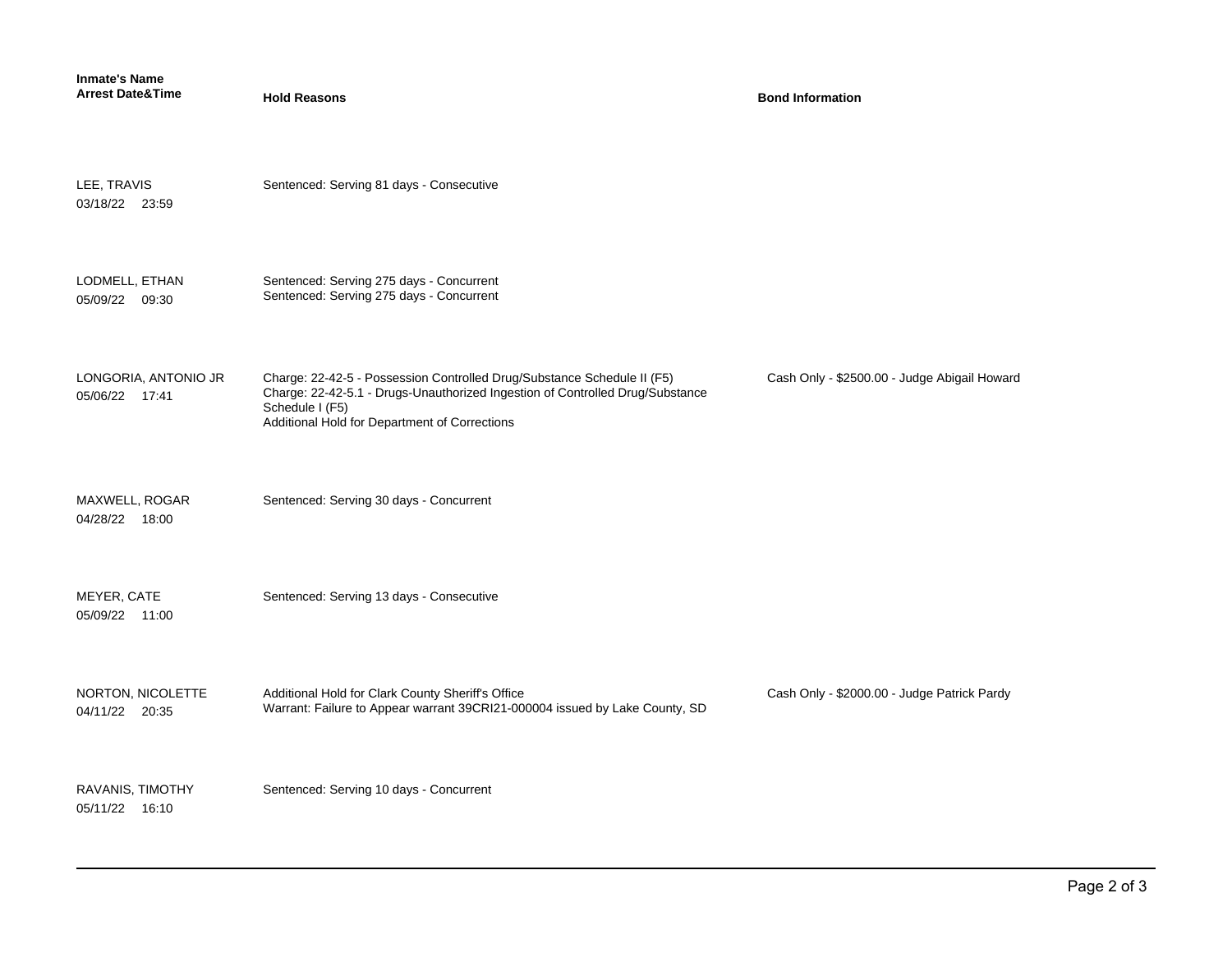| <b>Inmate's Name</b><br><b>Arrest Date&amp;Time</b> | <b>Hold Reasons</b>                                                                                                                                                                                                          | <b>Bond Information</b>                      |
|-----------------------------------------------------|------------------------------------------------------------------------------------------------------------------------------------------------------------------------------------------------------------------------------|----------------------------------------------|
| LEE, TRAVIS<br>03/18/22 23:59                       | Sentenced: Serving 81 days - Consecutive                                                                                                                                                                                     |                                              |
| LODMELL, ETHAN<br>05/09/22 09:30                    | Sentenced: Serving 275 days - Concurrent<br>Sentenced: Serving 275 days - Concurrent                                                                                                                                         |                                              |
| LONGORIA, ANTONIO JR<br>05/06/22 17:41              | Charge: 22-42-5 - Possession Controlled Drug/Substance Schedule II (F5)<br>Charge: 22-42-5.1 - Drugs-Unauthorized Ingestion of Controlled Drug/Substance<br>Schedule I (F5)<br>Additional Hold for Department of Corrections | Cash Only - \$2500.00 - Judge Abigail Howard |
| MAXWELL, ROGAR<br>04/28/22 18:00                    | Sentenced: Serving 30 days - Concurrent                                                                                                                                                                                      |                                              |
| MEYER, CATE<br>05/09/22 11:00                       | Sentenced: Serving 13 days - Consecutive                                                                                                                                                                                     |                                              |
| NORTON, NICOLETTE<br>04/11/22 20:35                 | Additional Hold for Clark County Sheriff's Office<br>Warrant: Failure to Appear warrant 39CRI21-000004 issued by Lake County, SD                                                                                             | Cash Only - \$2000.00 - Judge Patrick Pardy  |
| RAVANIS, TIMOTHY<br>05/11/22 16:10                  | Sentenced: Serving 10 days - Concurrent                                                                                                                                                                                      |                                              |